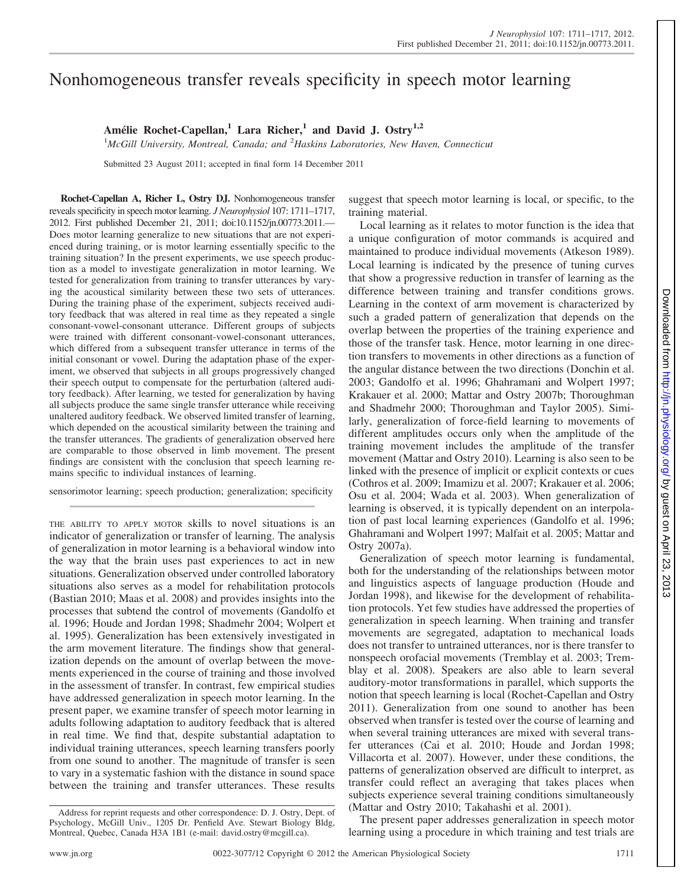# Nonhomogeneous transfer reveals specificity in speech motor learning

## **Amélie Rochet-Capellan,<sup>1</sup> Lara Richer,<sup>1</sup> and David J. Ostry1,2**

<sup>1</sup>McGill University, Montreal, Canada; and <sup>2</sup>Haskins Laboratories, New Haven, Connecticut

Submitted 23 August 2011; accepted in final form 14 December 2011

**Rochet-Capellan A, Richer L, Ostry DJ.** Nonhomogeneous transfer reveals specificity in speech motor learning. *J Neurophysiol* 107: 1711–1717, 2012. First published December 21, 2011; doi:10.1152/jn.00773.2011.— Does motor learning generalize to new situations that are not experienced during training, or is motor learning essentially specific to the training situation? In the present experiments, we use speech production as a model to investigate generalization in motor learning. We tested for generalization from training to transfer utterances by varying the acoustical similarity between these two sets of utterances. During the training phase of the experiment, subjects received auditory feedback that was altered in real time as they repeated a single consonant-vowel-consonant utterance. Different groups of subjects were trained with different consonant-vowel-consonant utterances, which differed from a subsequent transfer utterance in terms of the initial consonant or vowel. During the adaptation phase of the experiment, we observed that subjects in all groups progressively changed their speech output to compensate for the perturbation (altered auditory feedback). After learning, we tested for generalization by having all subjects produce the same single transfer utterance while receiving unaltered auditory feedback. We observed limited transfer of learning, which depended on the acoustical similarity between the training and the transfer utterances. The gradients of generalization observed here are comparable to those observed in limb movement. The present findings are consistent with the conclusion that speech learning remains specific to individual instances of learning.

sensorimotor learning; speech production; generalization; specificity

THE ABILITY TO APPLY MOTOR skills to novel situations is an indicator of generalization or transfer of learning. The analysis of generalization in motor learning is a behavioral window into the way that the brain uses past experiences to act in new situations. Generalization observed under controlled laboratory situations also serves as a model for rehabilitation protocols (Bastian 2010; Maas et al. 2008) and provides insights into the processes that subtend the control of movements (Gandolfo et al. 1996; Houde and Jordan 1998; Shadmehr 2004; Wolpert et al. 1995). Generalization has been extensively investigated in the arm movement literature. The findings show that generalization depends on the amount of overlap between the movements experienced in the course of training and those involved in the assessment of transfer. In contrast, few empirical studies have addressed generalization in speech motor learning. In the present paper, we examine transfer of speech motor learning in adults following adaptation to auditory feedback that is altered in real time. We find that, despite substantial adaptation to individual training utterances, speech learning transfers poorly from one sound to another. The magnitude of transfer is seen to vary in a systematic fashion with the distance in sound space between the training and transfer utterances. These results

suggest that speech motor learning is local, or specific, to the training material.

Local learning as it relates to motor function is the idea that a unique configuration of motor commands is acquired and maintained to produce individual movements (Atkeson 1989). Local learning is indicated by the presence of tuning curves that show a progressive reduction in transfer of learning as the difference between training and transfer conditions grows. Learning in the context of arm movement is characterized by such a graded pattern of generalization that depends on the overlap between the properties of the training experience and those of the transfer task. Hence, motor learning in one direction transfers to movements in other directions as a function of the angular distance between the two directions (Donchin et al. 2003; Gandolfo et al. 1996; Ghahramani and Wolpert 1997; Krakauer et al. 2000; Mattar and Ostry 2007b; Thoroughman and Shadmehr 2000; Thoroughman and Taylor 2005). Similarly, generalization of force-field learning to movements of different amplitudes occurs only when the amplitude of the training movement includes the amplitude of the transfer movement (Mattar and Ostry 2010). Learning is also seen to be linked with the presence of implicit or explicit contexts or cues (Cothros et al. 2009; Imamizu et al. 2007; Krakauer et al. 2006; Osu et al. 2004; Wada et al. 2003). When generalization of learning is observed, it is typically dependent on an interpolation of past local learning experiences (Gandolfo et al. 1996; Ghahramani and Wolpert 1997; Malfait et al. 2005; Mattar and Ostry 2007a).

Generalization of speech motor learning is fundamental, both for the understanding of the relationships between motor and linguistics aspects of language production (Houde and Jordan 1998), and likewise for the development of rehabilitation protocols. Yet few studies have addressed the properties of generalization in speech learning. When training and transfer movements are segregated, adaptation to mechanical loads does not transfer to untrained utterances, nor is there transfer to nonspeech orofacial movements (Tremblay et al. 2003; Tremblay et al. 2008). Speakers are also able to learn several auditory-motor transformations in parallel, which supports the notion that speech learning is local (Rochet-Capellan and Ostry 2011). Generalization from one sound to another has been observed when transfer is tested over the course of learning and when several training utterances are mixed with several transfer utterances (Cai et al. 2010; Houde and Jordan 1998; Villacorta et al. 2007). However, under these conditions, the patterns of generalization observed are difficult to interpret, as transfer could reflect an averaging that takes places when subjects experience several training conditions simultaneously (Mattar and Ostry 2010; Takahashi et al. 2001).

The present paper addresses generalization in speech motor learning using a procedure in which training and test trials are

Address for reprint requests and other correspondence: D. J. Ostry, Dept. of Psychology, McGill Univ., 1205 Dr. Penfield Ave. Stewart Biology Bldg, Montreal, Quebec, Canada H3A 1B1 (e-mail: david.ostry@mcgill.ca).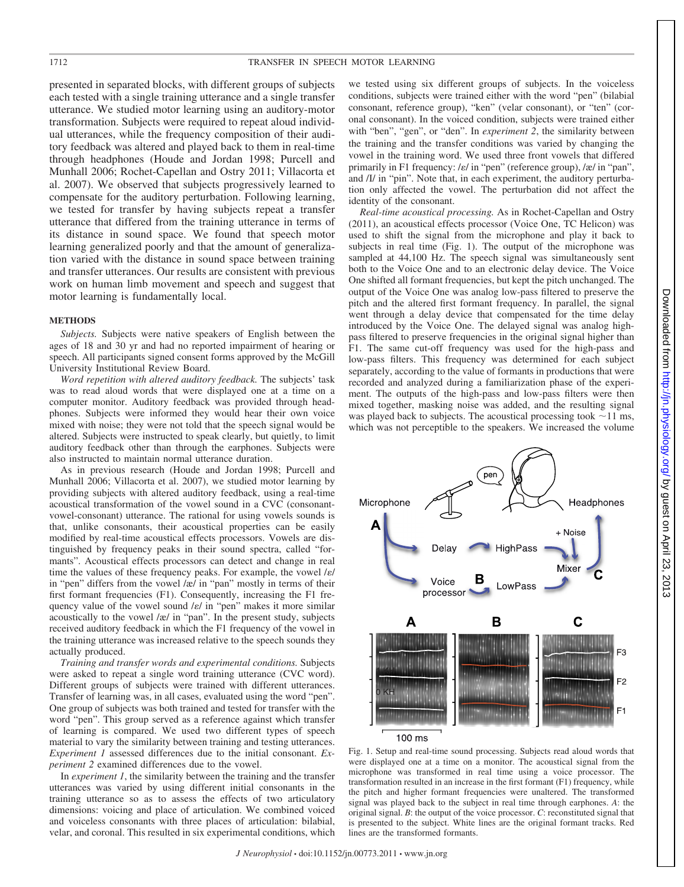presented in separated blocks, with different groups of subjects each tested with a single training utterance and a single transfer utterance. We studied motor learning using an auditory-motor transformation. Subjects were required to repeat aloud individual utterances, while the frequency composition of their auditory feedback was altered and played back to them in real-time through headphones (Houde and Jordan 1998; Purcell and Munhall 2006; Rochet-Capellan and Ostry 2011; Villacorta et al. 2007). We observed that subjects progressively learned to compensate for the auditory perturbation. Following learning, we tested for transfer by having subjects repeat a transfer utterance that differed from the training utterance in terms of its distance in sound space. We found that speech motor learning generalized poorly and that the amount of generalization varied with the distance in sound space between training and transfer utterances. Our results are consistent with previous work on human limb movement and speech and suggest that motor learning is fundamentally local.

#### **METHODS**

*Subjects.* Subjects were native speakers of English between the ages of 18 and 30 yr and had no reported impairment of hearing or speech. All participants signed consent forms approved by the McGill University Institutional Review Board.

*Word repetition with altered auditory feedback.* The subjects' task was to read aloud words that were displayed one at a time on a computer monitor. Auditory feedback was provided through headphones. Subjects were informed they would hear their own voice mixed with noise; they were not told that the speech signal would be altered. Subjects were instructed to speak clearly, but quietly, to limit auditory feedback other than through the earphones. Subjects were also instructed to maintain normal utterance duration.

As in previous research (Houde and Jordan 1998; Purcell and Munhall 2006; Villacorta et al. 2007), we studied motor learning by providing subjects with altered auditory feedback, using a real-time acoustical transformation of the vowel sound in a CVC (consonantvowel-consonant) utterance. The rational for using vowels sounds is that, unlike consonants, their acoustical properties can be easily modified by real-time acoustical effects processors. Vowels are distinguished by frequency peaks in their sound spectra, called "formants". Acoustical effects processors can detect and change in real time the values of these frequency peaks. For example, the vowel  $\frac{\ell}{\epsilon}$ in "pen" differs from the vowel /æ/ in "pan" mostly in terms of their first formant frequencies (F1). Consequently, increasing the F1 frequency value of the vowel sound  $/e/$  in "pen" makes it more similar acoustically to the vowel /æ/ in "pan". In the present study, subjects received auditory feedback in which the F1 frequency of the vowel in the training utterance was increased relative to the speech sounds they actually produced.

*Training and transfer words and experimental conditions.* Subjects were asked to repeat a single word training utterance (CVC word). Different groups of subjects were trained with different utterances. Transfer of learning was, in all cases, evaluated using the word "pen". One group of subjects was both trained and tested for transfer with the word "pen". This group served as a reference against which transfer of learning is compared. We used two different types of speech material to vary the similarity between training and testing utterances. *Experiment 1* assessed differences due to the initial consonant. *Experiment 2* examined differences due to the vowel.

In *experiment 1*, the similarity between the training and the transfer utterances was varied by using different initial consonants in the training utterance so as to assess the effects of two articulatory dimensions: voicing and place of articulation. We combined voiced and voiceless consonants with three places of articulation: bilabial, velar, and coronal. This resulted in six experimental conditions, which we tested using six different groups of subjects. In the voiceless conditions, subjects were trained either with the word "pen" (bilabial consonant, reference group), "ken" (velar consonant), or "ten" (coronal consonant). In the voiced condition, subjects were trained either with "ben", "gen", or "den". In *experiment 2*, the similarity between the training and the transfer conditions was varied by changing the vowel in the training word. We used three front vowels that differed primarily in F1 frequency: / $\varepsilon$ / in "pen" (reference group), /æ/ in "pan", and /I/ in "pin". Note that, in each experiment, the auditory perturbation only affected the vowel. The perturbation did not affect the identity of the consonant.

*Real-time acoustical processing.* As in Rochet-Capellan and Ostry (2011), an acoustical effects processor (Voice One, TC Helicon) was used to shift the signal from the microphone and play it back to subjects in real time (Fig. 1). The output of the microphone was sampled at 44,100 Hz. The speech signal was simultaneously sent both to the Voice One and to an electronic delay device. The Voice One shifted all formant frequencies, but kept the pitch unchanged. The output of the Voice One was analog low-pass filtered to preserve the pitch and the altered first formant frequency. In parallel, the signal went through a delay device that compensated for the time delay introduced by the Voice One. The delayed signal was analog highpass filtered to preserve frequencies in the original signal higher than F1. The same cut-off frequency was used for the high-pass and low-pass filters. This frequency was determined for each subject separately, according to the value of formants in productions that were recorded and analyzed during a familiarization phase of the experiment. The outputs of the high-pass and low-pass filters were then mixed together, masking noise was added, and the resulting signal was played back to subjects. The acoustical processing took  $\sim$ 11 ms, which was not perceptible to the speakers. We increased the volume



Fig. 1. Setup and real-time sound processing. Subjects read aloud words that were displayed one at a time on a monitor. The acoustical signal from the microphone was transformed in real time using a voice processor. The transformation resulted in an increase in the first formant (F1) frequency, while the pitch and higher formant frequencies were unaltered. The transformed signal was played back to the subject in real time through earphones. *A*: the original signal. *B*: the output of the voice processor. *C*: reconstituted signal that is presented to the subject. White lines are the original formant tracks. Red lines are the transformed formants.

Downloaded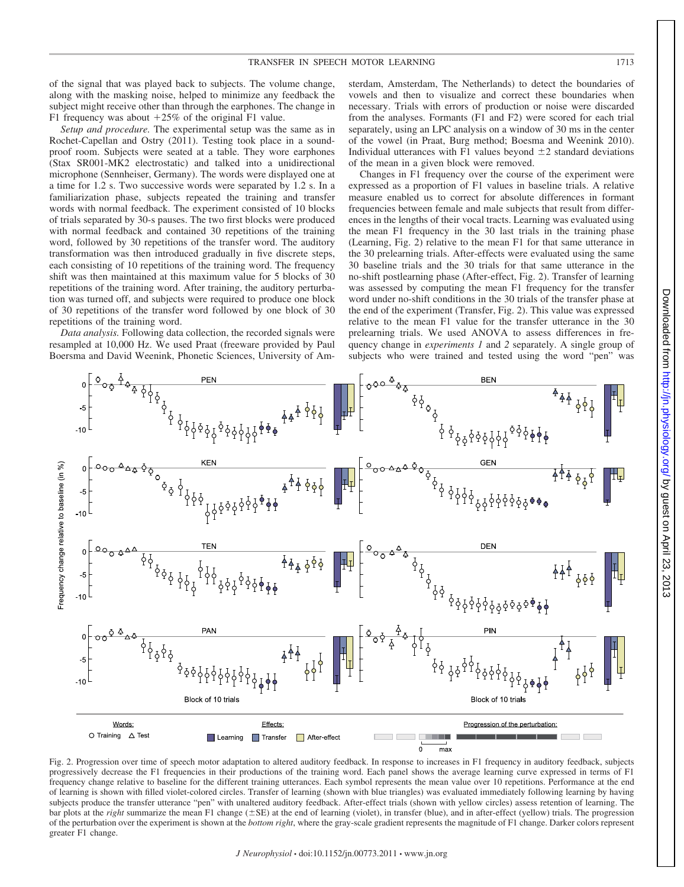of the signal that was played back to subjects. The volume change, along with the masking noise, helped to minimize any feedback the subject might receive other than through the earphones. The change in F1 frequency was about  $+25\%$  of the original F1 value.

*Setup and procedure.* The experimental setup was the same as in Rochet-Capellan and Ostry (2011). Testing took place in a soundproof room. Subjects were seated at a table. They wore earphones (Stax SR001-MK2 electrostatic) and talked into a unidirectional microphone (Sennheiser, Germany). The words were displayed one at a time for 1.2 s. Two successive words were separated by 1.2 s. In a familiarization phase, subjects repeated the training and transfer words with normal feedback. The experiment consisted of 10 blocks of trials separated by 30-s pauses. The two first blocks were produced with normal feedback and contained 30 repetitions of the training word, followed by 30 repetitions of the transfer word. The auditory transformation was then introduced gradually in five discrete steps, each consisting of 10 repetitions of the training word. The frequency shift was then maintained at this maximum value for 5 blocks of 30 repetitions of the training word. After training, the auditory perturbation was turned off, and subjects were required to produce one block of 30 repetitions of the transfer word followed by one block of 30 repetitions of the training word.

*Data analysis.* Following data collection, the recorded signals were resampled at 10,000 Hz. We used Praat (freeware provided by Paul Boersma and David Weenink, Phonetic Sciences, University of Am-

sterdam, Amsterdam, The Netherlands) to detect the boundaries of vowels and then to visualize and correct these boundaries when necessary. Trials with errors of production or noise were discarded from the analyses. Formants (F1 and F2) were scored for each trial separately, using an LPC analysis on a window of 30 ms in the center of the vowel (in Praat, Burg method; Boesma and Weenink 2010). Individual utterances with F1 values beyond  $\pm 2$  standard deviations of the mean in a given block were removed.

Changes in F1 frequency over the course of the experiment were expressed as a proportion of F1 values in baseline trials. A relative measure enabled us to correct for absolute differences in formant frequencies between female and male subjects that result from differences in the lengths of their vocal tracts. Learning was evaluated using the mean F1 frequency in the 30 last trials in the training phase (Learning, Fig. 2) relative to the mean F1 for that same utterance in the 30 prelearning trials. After-effects were evaluated using the same 30 baseline trials and the 30 trials for that same utterance in the no-shift postlearning phase (After-effect, Fig. 2). Transfer of learning was assessed by computing the mean F1 frequency for the transfer word under no-shift conditions in the 30 trials of the transfer phase at the end of the experiment (Transfer, Fig. 2). This value was expressed relative to the mean F1 value for the transfer utterance in the 30 prelearning trials. We used ANOVA to assess differences in frequency change in *experiments 1* and *2* separately. A single group of subjects who were trained and tested using the word "pen" was



Fig. 2. Progression over time of speech motor adaptation to altered auditory feedback. In response to increases in F1 frequency in auditory feedback, subjects progressively decrease the F1 frequencies in their productions of the training word. Each panel shows the average learning curve expressed in terms of F1 frequency change relative to baseline for the different training utterances. Each symbol represents the mean value over 10 repetitions. Performance at the end of learning is shown with filled violet-colored circles. Transfer of learning (shown with blue triangles) was evaluated immediately following learning by having subjects produce the transfer utterance "pen" with unaltered auditory feedback. After-effect trials (shown with yellow circles) assess retention of learning. The bar plots at the *right* summarize the mean F1 change ( $\pm$ SE) at the end of learning (violet), in transfer (blue), and in after-effect (yellow) trials. The progression of the perturbation over the experiment is shown at the *bottom right*, where the gray-scale gradient represents the magnitude of F1 change. Darker colors represent greater F1 change.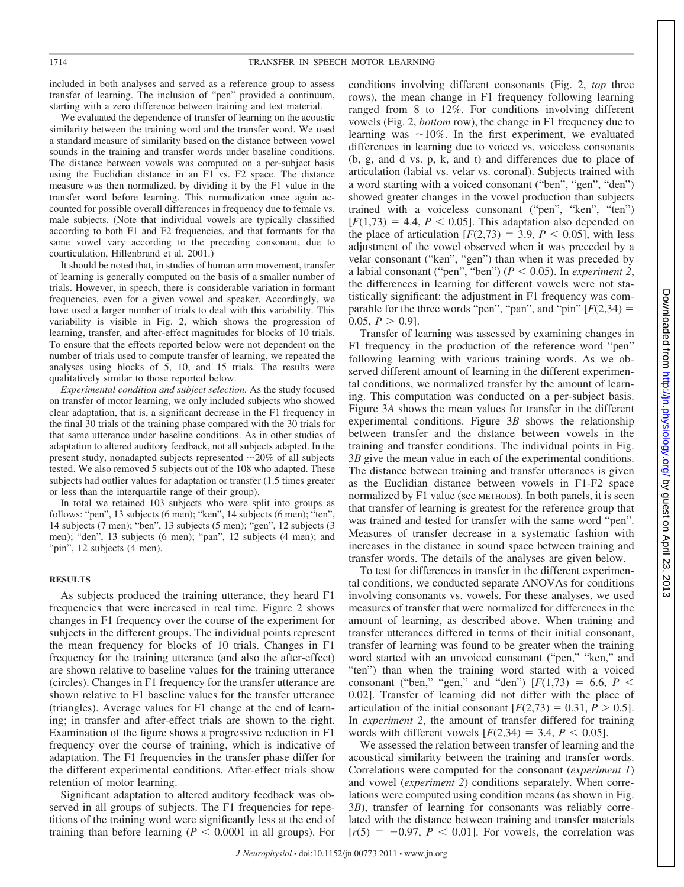included in both analyses and served as a reference group to assess transfer of learning. The inclusion of "pen" provided a continuum, starting with a zero difference between training and test material.

We evaluated the dependence of transfer of learning on the acoustic similarity between the training word and the transfer word. We used a standard measure of similarity based on the distance between vowel sounds in the training and transfer words under baseline conditions. The distance between vowels was computed on a per-subject basis using the Euclidian distance in an F1 vs. F2 space. The distance measure was then normalized, by dividing it by the F1 value in the transfer word before learning. This normalization once again accounted for possible overall differences in frequency due to female vs. male subjects. (Note that individual vowels are typically classified according to both F1 and F2 frequencies, and that formants for the same vowel vary according to the preceding consonant, due to coarticulation, Hillenbrand et al. 2001.)

It should be noted that, in studies of human arm movement, transfer of learning is generally computed on the basis of a smaller number of trials. However, in speech, there is considerable variation in formant frequencies, even for a given vowel and speaker. Accordingly, we have used a larger number of trials to deal with this variability. This variability is visible in Fig. 2, which shows the progression of learning, transfer, and after-effect magnitudes for blocks of 10 trials. To ensure that the effects reported below were not dependent on the number of trials used to compute transfer of learning, we repeated the analyses using blocks of 5, 10, and 15 trials. The results were qualitatively similar to those reported below.

*Experimental condition and subject selection.* As the study focused on transfer of motor learning, we only included subjects who showed clear adaptation, that is, a significant decrease in the F1 frequency in the final 30 trials of the training phase compared with the 30 trials for that same utterance under baseline conditions. As in other studies of adaptation to altered auditory feedback, not all subjects adapted. In the present study, nonadapted subjects represented  $\sim$ 20% of all subjects tested. We also removed 5 subjects out of the 108 who adapted. These subjects had outlier values for adaptation or transfer (1.5 times greater or less than the interquartile range of their group).

In total we retained 103 subjects who were split into groups as follows: "pen", 13 subjects (6 men); "ken", 14 subjects (6 men); "ten", 14 subjects (7 men); "ben", 13 subjects (5 men); "gen", 12 subjects (3 men); "den", 13 subjects (6 men); "pan", 12 subjects (4 men); and "pin", 12 subjects (4 men).

## **RESULTS**

As subjects produced the training utterance, they heard F1 frequencies that were increased in real time. Figure 2 shows changes in F1 frequency over the course of the experiment for subjects in the different groups. The individual points represent the mean frequency for blocks of 10 trials. Changes in F1 frequency for the training utterance (and also the after-effect) are shown relative to baseline values for the training utterance (circles). Changes in F1 frequency for the transfer utterance are shown relative to F1 baseline values for the transfer utterance (triangles). Average values for F1 change at the end of learning; in transfer and after-effect trials are shown to the right. Examination of the figure shows a progressive reduction in F1 frequency over the course of training, which is indicative of adaptation. The F1 frequencies in the transfer phase differ for the different experimental conditions. After-effect trials show retention of motor learning.

Significant adaptation to altered auditory feedback was observed in all groups of subjects. The F1 frequencies for repetitions of the training word were significantly less at the end of training than before learning ( $P < 0.0001$  in all groups). For

conditions involving different consonants (Fig. 2, *top* three rows), the mean change in F1 frequency following learning ranged from 8 to 12%. For conditions involving different vowels (Fig. 2, *bottom* row), the change in F1 frequency due to learning was  $\sim$ 10%. In the first experiment, we evaluated differences in learning due to voiced vs. voiceless consonants (b, g, and d vs. p, k, and t) and differences due to place of articulation (labial vs. velar vs. coronal). Subjects trained with a word starting with a voiced consonant ("ben", "gen", "den") showed greater changes in the vowel production than subjects trained with a voiceless consonant ("pen", "ken", "ten")  $[F(1,73) = 4.4, P \le 0.05]$ . This adaptation also depended on the place of articulation  $[F(2,73) = 3.9, P \lt 0.05]$ , with less adjustment of the vowel observed when it was preceded by a velar consonant ("ken", "gen") than when it was preceded by a labial consonant ("pen", "ben") ( $P < 0.05$ ). In *experiment* 2, the differences in learning for different vowels were not statistically significant: the adjustment in F1 frequency was comparable for the three words "pen", "pan", and "pin"  $[F(2,34) =$  $0.05, P > 0.9$ .

Transfer of learning was assessed by examining changes in F1 frequency in the production of the reference word "pen" following learning with various training words. As we observed different amount of learning in the different experimental conditions, we normalized transfer by the amount of learning. This computation was conducted on a per-subject basis. Figure 3*A* shows the mean values for transfer in the different experimental conditions. Figure 3*B* shows the relationship between transfer and the distance between vowels in the training and transfer conditions. The individual points in Fig. 3*B* give the mean value in each of the experimental conditions. The distance between training and transfer utterances is given as the Euclidian distance between vowels in F1-F2 space normalized by F1 value (see METHODS). In both panels, it is seen that transfer of learning is greatest for the reference group that was trained and tested for transfer with the same word "pen". Measures of transfer decrease in a systematic fashion with increases in the distance in sound space between training and transfer words. The details of the analyses are given below.

To test for differences in transfer in the different experimental conditions, we conducted separate ANOVAs for conditions involving consonants vs. vowels. For these analyses, we used measures of transfer that were normalized for differences in the amount of learning, as described above. When training and transfer utterances differed in terms of their initial consonant, transfer of learning was found to be greater when the training word started with an unvoiced consonant ("pen," "ken," and "ten") than when the training word started with a voiced consonant ("ben," "gen," and "den")  $[F(1,73) = 6.6, P <$ 0.02]. Transfer of learning did not differ with the place of articulation of the initial consonant  $[F(2,73) = 0.31, P > 0.5]$ . In *experiment 2*, the amount of transfer differed for training words with different vowels  $[F(2,34) = 3.4, P < 0.05]$ .

We assessed the relation between transfer of learning and the acoustical similarity between the training and transfer words. Correlations were computed for the consonant (*experiment 1*) and vowel (*experiment 2*) conditions separately. When correlations were computed using condition means (as shown in Fig. 3*B*), transfer of learning for consonants was reliably correlated with the distance between training and transfer materials  $[r(5) = -0.97, P < 0.01]$ . For vowels, the correlation was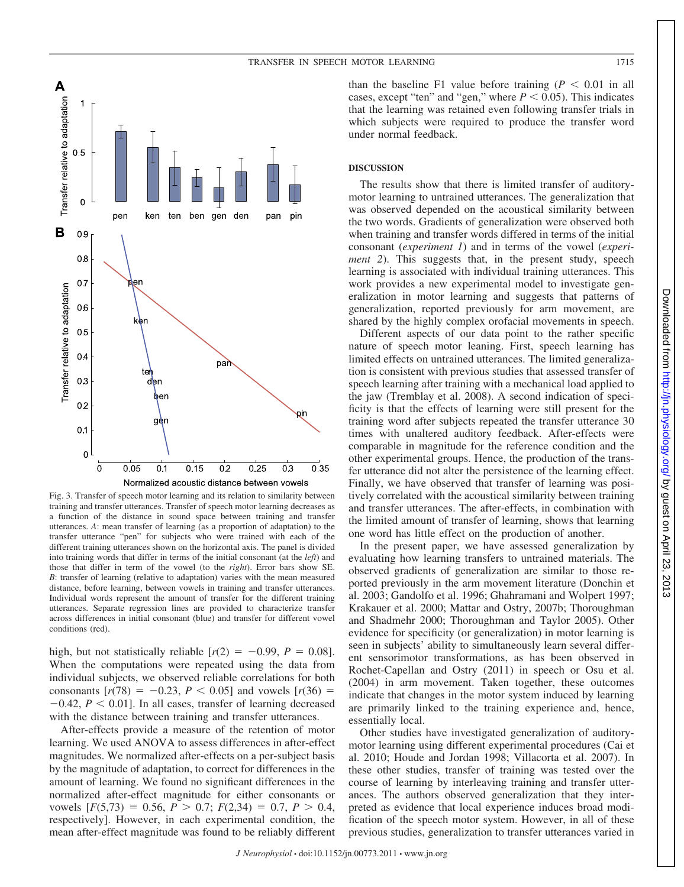

Fig. 3. Transfer of speech motor learning and its relation to similarity between training and transfer utterances. Transfer of speech motor learning decreases as a function of the distance in sound space between training and transfer utterances. *A*: mean transfer of learning (as a proportion of adaptation) to the transfer utterance "pen" for subjects who were trained with each of the different training utterances shown on the horizontal axis. The panel is divided into training words that differ in terms of the initial consonant (at the *left*) and those that differ in term of the vowel (to the *right*). Error bars show SE. *B*: transfer of learning (relative to adaptation) varies with the mean measured distance, before learning, between vowels in training and transfer utterances. Individual words represent the amount of transfer for the different training utterances. Separate regression lines are provided to characterize transfer across differences in initial consonant (blue) and transfer for different vowel conditions (red).

high, but not statistically reliable  $[r(2) = -0.99, P = 0.08]$ . When the computations were repeated using the data from individual subjects, we observed reliable correlations for both consonants  $[r(78) = -0.23, P < 0.05]$  and vowels  $[r(36) =$  $-0.42$ ,  $P < 0.01$ ]. In all cases, transfer of learning decreased with the distance between training and transfer utterances.

After-effects provide a measure of the retention of motor learning. We used ANOVA to assess differences in after-effect magnitudes. We normalized after-effects on a per-subject basis by the magnitude of adaptation, to correct for differences in the amount of learning. We found no significant differences in the normalized after-effect magnitude for either consonants or vowels  $[F(5,73) = 0.56, P > 0.7; F(2,34) = 0.7, P > 0.4,$ respectively]. However, in each experimental condition, the mean after-effect magnitude was found to be reliably different

than the baseline F1 value before training  $(P < 0.01$  in all cases, except "ten" and "gen," where  $P < 0.05$ ). This indicates that the learning was retained even following transfer trials in which subjects were required to produce the transfer word under normal feedback.

#### **DISCUSSION**

The results show that there is limited transfer of auditorymotor learning to untrained utterances. The generalization that was observed depended on the acoustical similarity between the two words. Gradients of generalization were observed both when training and transfer words differed in terms of the initial consonant (*experiment 1*) and in terms of the vowel (*experiment 2*). This suggests that, in the present study, speech learning is associated with individual training utterances. This work provides a new experimental model to investigate generalization in motor learning and suggests that patterns of generalization, reported previously for arm movement, are shared by the highly complex orofacial movements in speech.

Different aspects of our data point to the rather specific nature of speech motor leaning. First, speech learning has limited effects on untrained utterances. The limited generalization is consistent with previous studies that assessed transfer of speech learning after training with a mechanical load applied to the jaw (Tremblay et al. 2008). A second indication of specificity is that the effects of learning were still present for the training word after subjects repeated the transfer utterance 30 times with unaltered auditory feedback. After-effects were comparable in magnitude for the reference condition and the other experimental groups. Hence, the production of the transfer utterance did not alter the persistence of the learning effect. Finally, we have observed that transfer of learning was positively correlated with the acoustical similarity between training and transfer utterances. The after-effects, in combination with the limited amount of transfer of learning, shows that learning one word has little effect on the production of another.

In the present paper, we have assessed generalization by evaluating how learning transfers to untrained materials. The observed gradients of generalization are similar to those reported previously in the arm movement literature (Donchin et al. 2003; Gandolfo et al. 1996; Ghahramani and Wolpert 1997; Krakauer et al. 2000; Mattar and Ostry, 2007b; Thoroughman and Shadmehr 2000; Thoroughman and Taylor 2005). Other evidence for specificity (or generalization) in motor learning is seen in subjects' ability to simultaneously learn several different sensorimotor transformations, as has been observed in Rochet-Capellan and Ostry (2011) in speech or Osu et al. (2004) in arm movement. Taken together, these outcomes indicate that changes in the motor system induced by learning are primarily linked to the training experience and, hence, essentially local.

Other studies have investigated generalization of auditorymotor learning using different experimental procedures (Cai et al. 2010; Houde and Jordan 1998; Villacorta et al. 2007). In these other studies, transfer of training was tested over the course of learning by interleaving training and transfer utterances. The authors observed generalization that they interpreted as evidence that local experience induces broad modification of the speech motor system. However, in all of these previous studies, generalization to transfer utterances varied in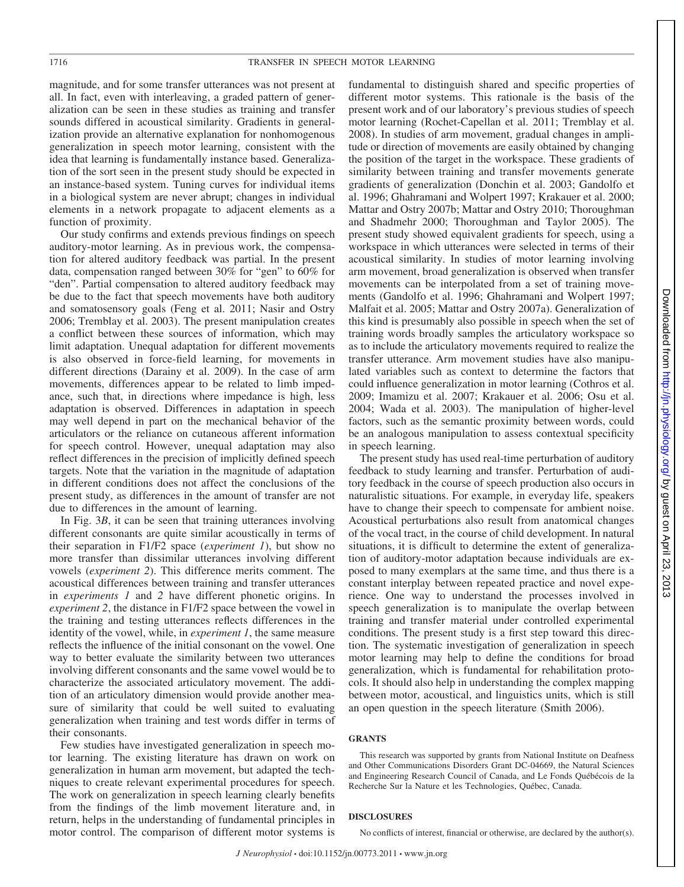magnitude, and for some transfer utterances was not present at all. In fact, even with interleaving, a graded pattern of generalization can be seen in these studies as training and transfer sounds differed in acoustical similarity. Gradients in generalization provide an alternative explanation for nonhomogenous generalization in speech motor learning, consistent with the idea that learning is fundamentally instance based. Generalization of the sort seen in the present study should be expected in an instance-based system. Tuning curves for individual items in a biological system are never abrupt; changes in individual elements in a network propagate to adjacent elements as a function of proximity.

Our study confirms and extends previous findings on speech auditory-motor learning. As in previous work, the compensation for altered auditory feedback was partial. In the present data, compensation ranged between 30% for "gen" to 60% for "den". Partial compensation to altered auditory feedback may be due to the fact that speech movements have both auditory and somatosensory goals (Feng et al. 2011; Nasir and Ostry 2006; Tremblay et al. 2003). The present manipulation creates a conflict between these sources of information, which may limit adaptation. Unequal adaptation for different movements is also observed in force-field learning, for movements in different directions (Darainy et al. 2009). In the case of arm movements, differences appear to be related to limb impedance, such that, in directions where impedance is high, less adaptation is observed. Differences in adaptation in speech may well depend in part on the mechanical behavior of the articulators or the reliance on cutaneous afferent information for speech control. However, unequal adaptation may also reflect differences in the precision of implicitly defined speech targets. Note that the variation in the magnitude of adaptation in different conditions does not affect the conclusions of the present study, as differences in the amount of transfer are not due to differences in the amount of learning.

In Fig. 3*B*, it can be seen that training utterances involving different consonants are quite similar acoustically in terms of their separation in F1/F2 space (*experiment 1*), but show no more transfer than dissimilar utterances involving different vowels (*experiment 2*). This difference merits comment. The acoustical differences between training and transfer utterances in *experiments 1* and *2* have different phonetic origins. In *experiment 2*, the distance in F1/F2 space between the vowel in the training and testing utterances reflects differences in the identity of the vowel, while, in *experiment 1*, the same measure reflects the influence of the initial consonant on the vowel. One way to better evaluate the similarity between two utterances involving different consonants and the same vowel would be to characterize the associated articulatory movement. The addition of an articulatory dimension would provide another measure of similarity that could be well suited to evaluating generalization when training and test words differ in terms of their consonants.

Few studies have investigated generalization in speech motor learning. The existing literature has drawn on work on generalization in human arm movement, but adapted the techniques to create relevant experimental procedures for speech. The work on generalization in speech learning clearly benefits from the findings of the limb movement literature and, in return, helps in the understanding of fundamental principles in motor control. The comparison of different motor systems is

fundamental to distinguish shared and specific properties of different motor systems. This rationale is the basis of the present work and of our laboratory's previous studies of speech motor learning (Rochet-Capellan et al. 2011; Tremblay et al. 2008). In studies of arm movement, gradual changes in amplitude or direction of movements are easily obtained by changing the position of the target in the workspace. These gradients of similarity between training and transfer movements generate gradients of generalization (Donchin et al. 2003; Gandolfo et al. 1996; Ghahramani and Wolpert 1997; Krakauer et al. 2000; Mattar and Ostry 2007b; Mattar and Ostry 2010; Thoroughman and Shadmehr 2000; Thoroughman and Taylor 2005). The present study showed equivalent gradients for speech, using a workspace in which utterances were selected in terms of their acoustical similarity. In studies of motor learning involving arm movement, broad generalization is observed when transfer movements can be interpolated from a set of training movements (Gandolfo et al. 1996; Ghahramani and Wolpert 1997; Malfait et al. 2005; Mattar and Ostry 2007a). Generalization of this kind is presumably also possible in speech when the set of training words broadly samples the articulatory workspace so as to include the articulatory movements required to realize the transfer utterance. Arm movement studies have also manipulated variables such as context to determine the factors that could influence generalization in motor learning (Cothros et al. 2009; Imamizu et al. 2007; Krakauer et al. 2006; Osu et al. 2004; Wada et al. 2003). The manipulation of higher-level factors, such as the semantic proximity between words, could be an analogous manipulation to assess contextual specificity in speech learning.

The present study has used real-time perturbation of auditory feedback to study learning and transfer. Perturbation of auditory feedback in the course of speech production also occurs in naturalistic situations. For example, in everyday life, speakers have to change their speech to compensate for ambient noise. Acoustical perturbations also result from anatomical changes of the vocal tract, in the course of child development. In natural situations, it is difficult to determine the extent of generalization of auditory-motor adaptation because individuals are exposed to many exemplars at the same time, and thus there is a constant interplay between repeated practice and novel experience. One way to understand the processes involved in speech generalization is to manipulate the overlap between training and transfer material under controlled experimental conditions. The present study is a first step toward this direction. The systematic investigation of generalization in speech motor learning may help to define the conditions for broad generalization, which is fundamental for rehabilitation protocols. It should also help in understanding the complex mapping between motor, acoustical, and linguistics units, which is still an open question in the speech literature (Smith 2006).

#### **GRANTS**

This research was supported by grants from National Institute on Deafness and Other Communications Disorders Grant DC-04669, the Natural Sciences and Engineering Research Council of Canada, and Le Fonds Québécois de la Recherche Sur la Nature et les Technologies, Québec, Canada.

### **DISCLOSURES**

No conflicts of interest, financial or otherwise, are declared by the author(s).